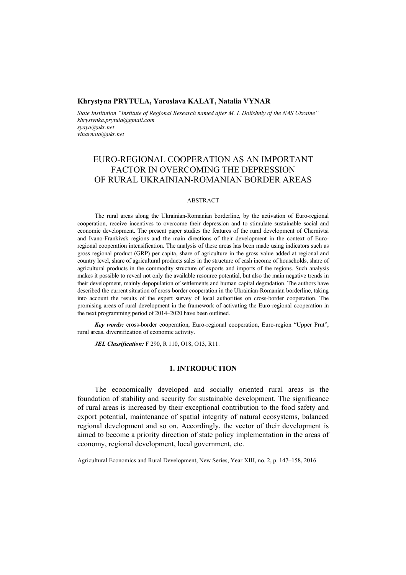### **Khrystyna PRYTULA, Yaroslava KALAT, Natalia VYNAR**

*State Institution "Institute of Regional Research named after M. I. Dolishniy of the NAS Ukraine" khrystynka.prytula@gmail.com syaya@ukr.net vinarnata@ukr.net* 

# EURO-REGIONAL COOPERATION AS AN IMPORTANT FACTOR IN OVERCOMING THE DEPRESSION OF RURAL UKRAINIAN-ROMANIAN BORDER AREAS

#### ABSTRACT

The rural areas along the Ukrainian-Romanian borderline, by the activation of Euro-regional cooperation, receive incentives to overcome their depression and to stimulate sustainable social and economic development. The present paper studies the features of the rural development of Chernivtsi and Ivano-Frankivsk regions and the main directions of their development in the context of Euroregional cooperation intensification. The analysis of these areas has been made using indicators such as gross regional product (GRP) per capita, share of agriculture in the gross value added at regional and country level, share of agricultural products sales in the structure of cash income of households, share of agricultural products in the commodity structure of exports and imports of the regions. Such analysis makes it possible to reveal not only the available resource potential, but also the main negative trends in their development, mainly depopulation of settlements and human capital degradation. The authors have described the current situation of cross-border cooperation in the Ukrainian-Romanian borderline, taking into account the results of the expert survey of local authorities on cross-border cooperation. The promising areas of rural development in the framework of activating the Euro-regional cooperation in the next programming period of 2014–2020 have been outlined.

*Key words:* cross-border cooperation, Euro-regional cooperation, Euro-region "Upper Prut", rural areas, diversification of economic activity.

*JEL Classification:* F 290, R 110, O18, O13, R11.

### **1. INTRODUCTION**

The economically developed and socially oriented rural areas is the foundation of stability and security for sustainable development. The significance of rural areas is increased by their exceptional contribution to the food safety and export potential, maintenance of spatial integrity of natural ecosystems, balanced regional development and so on. Accordingly, the vector of their development is aimed to become a priority direction of state policy implementation in the areas of economy, regional development, local government, etc.

Agricultural Economics and Rural Development, New Series, Year XIII, no. 2, p. 147–158, 2016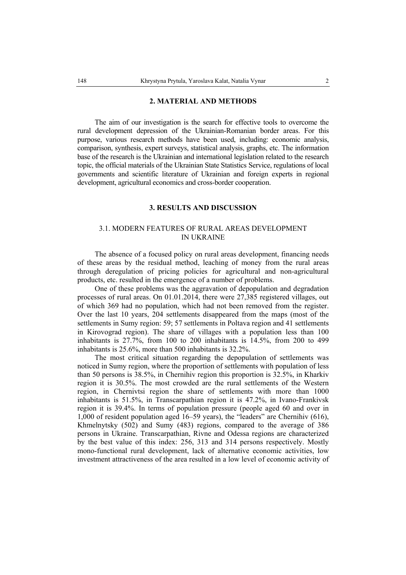#### **2. MATERIAL AND METHODS**

The aim of our investigation is the search for effective tools to overcome the rural development depression of the Ukrainian-Romanian border areas. For this purpose, various research methods have been used, including: economic analysis, comparison, synthesis, expert surveys, statistical analysis, graphs, etc. The information base of the research is the Ukrainian and international legislation related to the research topic, the official materials of the Ukrainian State Statistics Service, regulations of local governments and scientific literature of Ukrainian and foreign experts in regional development, agricultural economics and cross-border cooperation.

### **3. RESULTS AND DISCUSSION**

# 3.1. MODERN FEATURES OF RURAL AREAS DEVELOPMENT IN UKRAINE

The absence of a focused policy on rural areas development, financing needs of these areas by the residual method, leaching of money from the rural areas through deregulation of pricing policies for agricultural and non-agricultural products, etc. resulted in the emergence of a number of problems.

One of these problems was the aggravation of depopulation and degradation processes of rural areas. On 01.01.2014, there were 27,385 registered villages, out of which 369 had no population, which had not been removed from the register. Over the last 10 years, 204 settlements disappeared from the maps (most of the settlements in Sumy region: 59; 57 settlements in Poltava region and 41 settlements in Kirovograd region). The share of villages with a population less than 100 inhabitants is 27.7%, from 100 to 200 inhabitants is 14.5%, from 200 to 499 inhabitants is 25.6%, more than 500 inhabitants is 32.2%.

The most critical situation regarding the depopulation of settlements was noticed in Sumy region, where the proportion of settlements with population of less than 50 persons is 38.5%, in Chernihiv region this proportion is 32.5%, in Kharkiv region it is 30.5%. The most crowded are the rural settlements of the Western region, in Chernivtsi region the share of settlements with more than 1000 inhabitants is 51.5%, in Transcarpathian region it is 47.2%, in Ivano-Frankivsk region it is 39.4%. In terms of population pressure (people aged 60 and over in 1,000 of resident population aged 16–59 years), the "leaders" are Chernihiv (616), Khmelnytsky (502) and Sumy (483) regions, compared to the average of 386 persons in Ukraine. Transcarpathian, Rivne and Odessa regions are characterized by the best value of this index: 256, 313 and 314 persons respectively. Mostly mono-functional rural development, lack of alternative economic activities, low investment attractiveness of the area resulted in a low level of economic activity of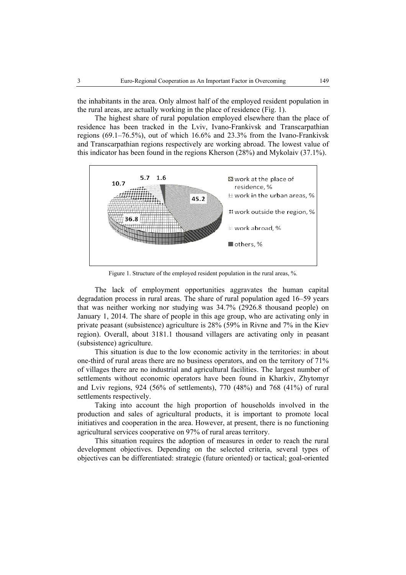the inhabitants in the area. Only almost half of the employed resident population in the rural areas, are actually working in the place of residence (Fig. 1).

The highest share of rural population employed elsewhere than the place of residence has been tracked in the Lviv, Ivano-Frankivsk and Transcarpathian regions (69.1–76.5%), out of which 16.6% and 23.3% from the Ivano-Frankivsk and Transcarpathian regions respectively are working abroad. The lowest value of this indicator has been found in the regions Kherson (28%) and Mykolaiv (37.1%).



Figure 1. Structure of the employed resident population in the rural areas, %.

The lack of employment opportunities aggravates the human capital degradation process in rural areas. The share of rural population aged 16–59 years that was neither working nor studying was 34.7% (2926.8 thousand people) on January 1, 2014. The share of people in this age group, who are activating only in private peasant (subsistence) agriculture is 28% (59% in Rivne and 7% in the Kiev region). Overall, about 3181.1 thousand villagers are activating only in peasant (subsistence) agriculture.

This situation is due to the low economic activity in the territories: in about one-third of rural areas there are no business operators, and on the territory of 71% of villages there are no industrial and agricultural facilities. The largest number of settlements without economic operators have been found in Kharkiv, Zhytomyr and Lviv regions, 924 (56% of settlements), 770 (48%) and 768 (41%) of rural settlements respectively.

Taking into account the high proportion of households involved in the production and sales of agricultural products, it is important to promote local initiatives and cooperation in the area. However, at present, there is no functioning agricultural services cooperative on 97% of rural areas territory.

This situation requires the adoption of measures in order to reach the rural development objectives. Depending on the selected criteria, several types of objectives can be differentiated: strategic (future oriented) or tactical; goal-oriented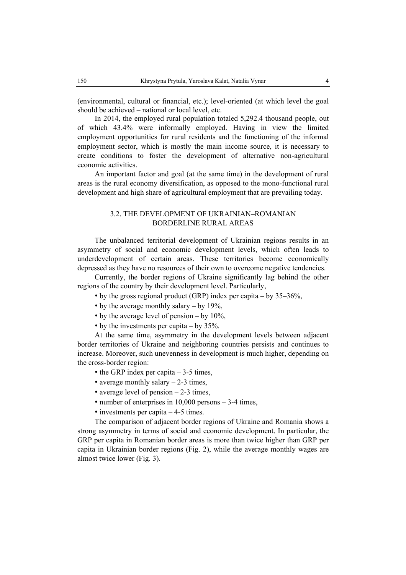(environmental, cultural or financial, etc.); level-oriented (at which level the goal should be achieved – national or local level, etc.

In 2014, the employed rural population totaled 5,292.4 thousand people, out of which 43.4% were informally employed. Having in view the limited employment opportunities for rural residents and the functioning of the informal employment sector, which is mostly the main income source, it is necessary to create conditions to foster the development of alternative non-agricultural economic activities.

An important factor and goal (at the same time) in the development of rural areas is the rural economy diversification, as opposed to the mono-functional rural development and high share of agricultural employment that are prevailing today.

# 3.2. THE DEVELOPMENT OF UKRAINIAN–ROMANIAN BORDERLINE RURAL AREAS

The unbalanced territorial development of Ukrainian regions results in an asymmetry of social and economic development levels, which often leads to underdevelopment of certain areas. These territories become economically depressed as they have no resources of their own to overcome negative tendencies.

Currently, the border regions of Ukraine significantly lag behind the other regions of the country by their development level. Particularly,

• by the gross regional product (GRP) index per capita – by  $35-36\%$ ,

- by the average monthly salary by  $19\%$ ,
- by the average level of pension by 10%,
- by the investments per capita by 35%.

At the same time, asymmetry in the development levels between adjacent border territories of Ukraine and neighboring countries persists and continues to increase. Moreover, such unevenness in development is much higher, depending on the cross-border region:

- the GRP index per capita 3-5 times,
- average monthly salary  $-2-3$  times,
- average level of pension 2-3 times,
- number of enterprises in 10,000 persons 3-4 times,
- investments per capita 4-5 times.

The comparison of adjacent border regions of Ukraine and Romania shows a strong asymmetry in terms of social and economic development. In particular, the GRP per capita in Romanian border areas is more than twice higher than GRP per capita in Ukrainian border regions (Fig. 2), while the average monthly wages are almost twice lower (Fig. 3).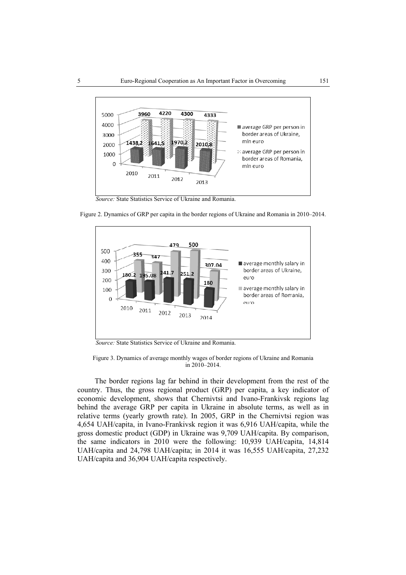

 *Source:* State Statistics Service of Ukraine and Romania.



Figure 2. Dynamics of GRP per capita in the border regions of Ukraine and Romania in 2010–2014.

 *Source:* State Statistics Service of Ukraine and Romania.

Figure 3. Dynamics of average monthly wages of border regions of Ukraine and Romania in 2010–2014.

The border regions lag far behind in their development from the rest of the country. Thus, the gross regional product (GRP) per capita, a key indicator of economic development, shows that Chernivtsi and Ivano-Frankivsk regions lag behind the average GRP per capita in Ukraine in absolute terms, as well as in relative terms (yearly growth rate). In 2005, GRP in the Chernivtsi region was 4,654 UAH/capita, in Ivano-Frankivsk region it was 6,916 UAH/capita, while the gross domestic product (GDP) in Ukraine was 9,709 UAH/capita. By comparison, the same indicators in 2010 were the following: 10,939 UAH/capita, 14,814 UAH/capita and 24,798 UAH/capita; in 2014 it was 16,555 UAH/capita, 27,232 UAH/capita and 36,904 UAH/capita respectively.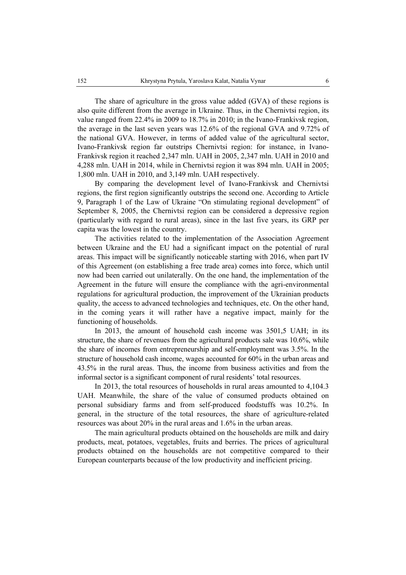The share of agriculture in the gross value added (GVA) of these regions is also quite different from the average in Ukraine. Thus, in the Chernivtsi region, its value ranged from 22.4% in 2009 to 18.7% in 2010; in the Ivano-Frankivsk region, the average in the last seven years was 12.6% of the regional GVA and 9.72% of the national GVA. However, in terms of added value of the agricultural sector, Ivano-Frankivsk region far outstrips Chernivtsi region: for instance, in Ivano-Frankivsk region it reached 2,347 mln. UAH in 2005, 2,347 mln. UAH in 2010 and 4,288 mln. UAH in 2014, while in Chernivtsi region it was 894 mln. UAH in 2005; 1,800 mln. UAH in 2010, and 3,149 mln. UAH respectively.

By comparing the development level of Ivano-Frankivsk and Chernivtsi regions, the first region significantly outstrips the second one. According to Article 9, Paragraph 1 of the Law of Ukraine "On stimulating regional development" of September 8, 2005, the Chernivtsi region can be considered a depressive region (particularly with regard to rural areas), since in the last five years, its GRP per capita was the lowest in the country.

The activities related to the implementation of the Association Agreement between Ukraine and the EU had a significant impact on the potential of rural areas. This impact will be significantly noticeable starting with 2016, when part IV of this Agreement (on establishing a free trade area) comes into force, which until now had been carried out unilaterally. On the one hand, the implementation of the Agreement in the future will ensure the compliance with the agri-environmental regulations for agricultural production, the improvement of the Ukrainian products quality, the access to advanced technologies and techniques, etc. On the other hand, in the coming years it will rather have a negative impact, mainly for the functioning of households.

In 2013, the amount of household cash income was 3501,5 UAH; in its structure, the share of revenues from the agricultural products sale was 10.6%, while the share of incomes from entrepreneurship and self-employment was 3.5%. In the structure of household cash income, wages accounted for 60% in the urban areas and 43.5% in the rural areas. Thus, the income from business activities and from the informal sector is a significant component of rural residents' total resources.

In 2013, the total resources of households in rural areas amounted to 4,104.3 UAH. Meanwhile, the share of the value of consumed products obtained on personal subsidiary farms and from self-produced foodstuffs was 10.2%. In general, in the structure of the total resources, the share of agriculture-related resources was about 20% in the rural areas and 1.6% in the urban areas.

The main agricultural products obtained on the households are milk and dairy products, meat, potatoes, vegetables, fruits and berries. The prices of agricultural products obtained on the households are not competitive compared to their European counterparts because of the low productivity and inefficient pricing.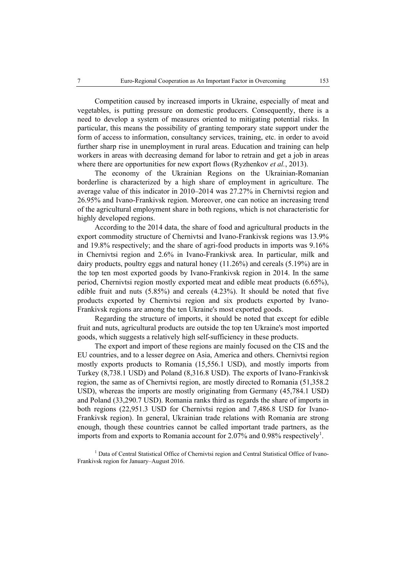Competition caused by increased imports in Ukraine, especially of meat and vegetables, is putting pressure on domestic producers. Consequently, there is a need to develop a system of measures oriented to mitigating potential risks. In particular, this means the possibility of granting temporary state support under the form of access to information, consultancy services, training, etc. in order to avoid further sharp rise in unemployment in rural areas. Education and training can help workers in areas with decreasing demand for labor to retrain and get a job in areas where there are opportunities for new export flows (Ryzhenkov *et al.*, 2013).

The economy of the Ukrainian Regions on the Ukrainian-Romanian borderline is characterized by a high share of employment in agriculture. The average value of this indicator in 2010–2014 was 27.27% in Chernivtsi region and 26.95% and Ivano-Frankivsk region. Moreover, one can notice an increasing trend of the agricultural employment share in both regions, which is not characteristic for highly developed regions.

According to the 2014 data, the share of food and agricultural products in the export commodity structure of Chernivtsi and Ivano-Frankivsk regions was 13.9% and 19.8% respectively; and the share of agri-food products in imports was 9.16% in Chernivtsi region and 2.6% in Ivano-Frankivsk area. In particular, milk and dairy products, poultry eggs and natural honey (11.26%) and cereals (5.19%) are in the top ten most exported goods by Ivano-Frankivsk region in 2014. In the same period, Chernivtsi region mostly exported meat and edible meat products (6.65%), edible fruit and nuts (5.85%) and cereals (4.23%). It should be noted that five products exported by Chernivtsi region and six products exported by Ivano-Frankivsk regions are among the ten Ukraine's most exported goods.

Regarding the structure of imports, it should be noted that except for edible fruit and nuts, agricultural products are outside the top ten Ukraine's most imported goods, which suggests a relatively high self-sufficiency in these products.

The export and import of these regions are mainly focused on the CIS and the EU countries, and to a lesser degree on Asia, America and others. Chernivtsi region mostly exports products to Romania (15,556.1 USD), and mostly imports from Turkey (8,738.1 USD) and Poland (8,316.8 USD). The exports of Ivano-Frankivsk region, the same as of Chernivtsi region, are mostly directed to Romania (51,358.2 USD), whereas the imports are mostly originating from Germany (45,784.1 USD) and Poland (33,290.7 USD). Romania ranks third as regards the share of imports in both regions (22,951.3 USD for Chernivtsi region and 7,486.8 USD for Ivano-Frankivsk region). In general, Ukrainian trade relations with Romania are strong enough, though these countries cannot be called important trade partners, as the imports from and exports to Romania account for  $2.07\%$  and  $0.98\%$  respectively<sup>1</sup>.

<sup>1</sup> Data of Central Statistical Office of Chernivtsi region and Central Statistical Office of Ivano-Frankivsk region for January–August 2016.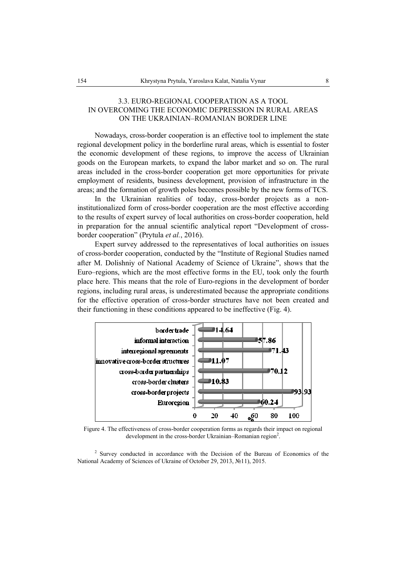## 3.3. EURO-REGIONAL COOPERATION AS A TOOL IN OVERCOMING THE ECONOMIC DEPRESSION IN RURAL AREAS ON THE UKRAINIAN–ROMANIAN BORDER LINE

Nowadays, cross-border cooperation is an effective tool to implement the state regional development policy in the borderline rural areas, which is essential to foster the economic development of these regions, to improve the access of Ukrainian goods on the European markets, to expand the labor market and so on. The rural areas included in the cross-border cooperation get more opportunities for private employment of residents, business development, provision of infrastructure in the areas; and the formation of growth poles becomes possible by the new forms of TCS.

In the Ukrainian realities of today, cross-border projects as a noninstitutionalized form of cross-border cooperation are the most effective according to the results of expert survey of local authorities on cross-border cooperation, held in preparation for the annual scientific analytical report "Development of crossborder cooperation" (Prytula *et al.*, 2016).

Expert survey addressed to the representatives of local authorities on issues of cross-border cooperation, conducted by the "Institute of Regional Studies named after M. Dolishniy of National Academy of Science of Ukraine", shows that the Euro–regions, which are the most effective forms in the EU, took only the fourth place here. This means that the role of Euro-regions in the development of border regions, including rural areas, is underestimated because the appropriate conditions for the effective operation of cross-border structures have not been created and their functioning in these conditions appeared to be ineffective (Fig. 4).



Figure 4. The effectiveness of cross-border cooperation forms as regards their impact on regional development in the cross-border Ukrainian-Romanian region<sup>2</sup>.

<sup>2</sup> Survey conducted in accordance with the Decision of the Bureau of Economics of the National Academy of Sciences of Ukraine of October 29, 2013, №11), 2015.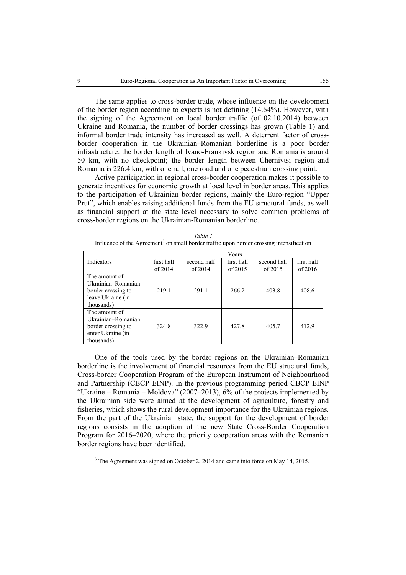The same applies to cross-border trade, whose influence on the development of the border region according to experts is not defining (14.64%). However, with the signing of the Agreement on local border traffic (of 02.10.2014) between Ukraine and Romania, the number of border crossings has grown (Table 1) and informal border trade intensity has increased as well. A deterrent factor of crossborder cooperation in the Ukrainian–Romanian borderline is a poor border infrastructure: the border length of Ivano-Frankivsk region and Romania is around 50 km, with no checkpoint; the border length between Chernivtsi region and Romania is 226.4 km, with one rail, one road and one pedestrian crossing point.

Active participation in regional cross-border cooperation makes it possible to generate incentives for economic growth at local level in border areas. This applies to the participation of Ukrainian border regions, mainly the Euro-region "Upper Prut", which enables raising additional funds from the EU structural funds, as well as financial support at the state level necessary to solve common problems of cross-border regions on the Ukrainian-Romanian borderline.

|                    | Years      |             |            |             |            |
|--------------------|------------|-------------|------------|-------------|------------|
| Indicators         | first half | second half | first half | second half | first half |
|                    | of $2014$  | of $2014$   | of $2015$  | of $2015$   | of $2016$  |
| The amount of      |            |             |            |             |            |
| Ukrainian-Romanian |            |             |            |             |            |
| border crossing to | 219.1      | 291.1       | 266.2      | 403.8       | 408.6      |
| leave Ukraine (in  |            |             |            |             |            |
| thousands)         |            |             |            |             |            |
| The amount of      |            |             |            |             |            |
| Ukrainian-Romanian |            |             |            |             |            |
| border crossing to | 324.8      | 322.9       | 427.8      | 405.7       | 412.9      |
| enter Ukraine (in  |            |             |            |             |            |
| thousands)         |            |             |            |             |            |

| Table 1                                                                                              |
|------------------------------------------------------------------------------------------------------|
| Influence of the Agreement <sup>3</sup> on small border traffic upon border crossing intensification |

One of the tools used by the border regions on the Ukrainian–Romanian borderline is the involvement of financial resources from the EU structural funds, Cross-border Cooperation Program of the European Instrument of Neighbourhood and Partnership (CBCP EINP). In the previous programming period CBCP EINP "Ukraine – Romania – Moldova" (2007–2013), 6% of the projects implemented by the Ukrainian side were aimed at the development of agriculture, forestry and fisheries, which shows the rural development importance for the Ukrainian regions. From the part of the Ukrainian state, the support for the development of border regions consists in the adoption of the new State Cross-Border Cooperation Program for 2016–2020, where the priority cooperation areas with the Romanian border regions have been identified.

<sup>3</sup> The Agreement was signed on October 2, 2014 and came into force on May 14, 2015.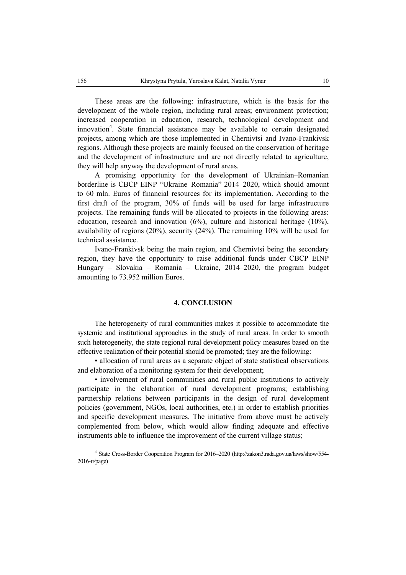These areas are the following: infrastructure, which is the basis for the development of the whole region, including rural areas; environment protection; increased cooperation in education, research, technological development and innovation<sup>4</sup>. State financial assistance may be available to certain designated projects, among which are those implemented in Chernivtsi and Ivano-Frankivsk regions. Although these projects are mainly focused on the conservation of heritage and the development of infrastructure and are not directly related to agriculture, they will help anyway the development of rural areas.

A promising opportunity for the development of Ukrainian–Romanian borderline is CBCP EINP "Ukraine–Romania" 2014–2020, which should amount to 60 mln. Euros of financial resources for its implementation. According to the first draft of the program, 30% of funds will be used for large infrastructure projects. The remaining funds will be allocated to projects in the following areas: education, research and innovation  $(6\%)$ , culture and historical heritage  $(10\%)$ , availability of regions (20%), security (24%). The remaining 10% will be used for technical assistance.

Ivano-Frankivsk being the main region, and Chernivtsi being the secondary region, they have the opportunity to raise additional funds under CBCP EINP Hungary – Slovakia – Romania – Ukraine, 2014–2020, the program budget amounting to 73.952 million Euros.

#### **4. CONCLUSION**

The heterogeneity of rural communities makes it possible to accommodate the systemic and institutional approaches in the study of rural areas. In order to smooth such heterogeneity, the state regional rural development policy measures based on the effective realization of their potential should be promoted; they are the following:

• allocation of rural areas as a separate object of state statistical observations and elaboration of a monitoring system for their development;

• involvement of rural communities and rural public institutions to actively participate in the elaboration of rural development programs; establishing partnership relations between participants in the design of rural development policies (government, NGOs, local authorities, etc.) in order to establish priorities and specific development measures. The initiative from above must be actively complemented from below, which would allow finding adequate and effective instruments able to influence the improvement of the current village status;

4 State Cross-Border Cooperation Program for 2016–2020 (http://zakon3.rada.gov.ua/laws/show/554- 2016-п/page)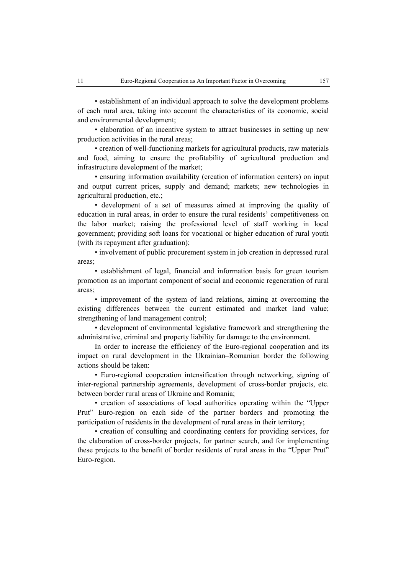• establishment of an individual approach to solve the development problems of each rural area, taking into account the characteristics of its economic, social and environmental development;

• elaboration of an incentive system to attract businesses in setting up new production activities in the rural areas;

• creation of well-functioning markets for agricultural products, raw materials and food, aiming to ensure the profitability of agricultural production and infrastructure development of the market;

• ensuring information availability (creation of information centers) on input and output current prices, supply and demand; markets; new technologies in agricultural production, etc.;

• development of a set of measures aimed at improving the quality of education in rural areas, in order to ensure the rural residents' competitiveness on the labor market; raising the professional level of staff working in local government; providing soft loans for vocational or higher education of rural youth (with its repayment after graduation);

• involvement of public procurement system in job creation in depressed rural areas;

• establishment of legal, financial and information basis for green tourism promotion as an important component of social and economic regeneration of rural areas;

• improvement of the system of land relations, aiming at overcoming the existing differences between the current estimated and market land value; strengthening of land management control;

• development of environmental legislative framework and strengthening the administrative, criminal and property liability for damage to the environment.

In order to increase the efficiency of the Euro-regional cooperation and its impact on rural development in the Ukrainian–Romanian border the following actions should be taken:

• Euro-regional cooperation intensification through networking, signing of inter-regional partnership agreements, development of cross-border projects, etc. between border rural areas of Ukraine and Romania;

• creation of associations of local authorities operating within the "Upper Prut" Euro-region on each side of the partner borders and promoting the participation of residents in the development of rural areas in their territory;

• creation of consulting and coordinating centers for providing services, for the elaboration of cross-border projects, for partner search, and for implementing these projects to the benefit of border residents of rural areas in the "Upper Prut" Euro-region.